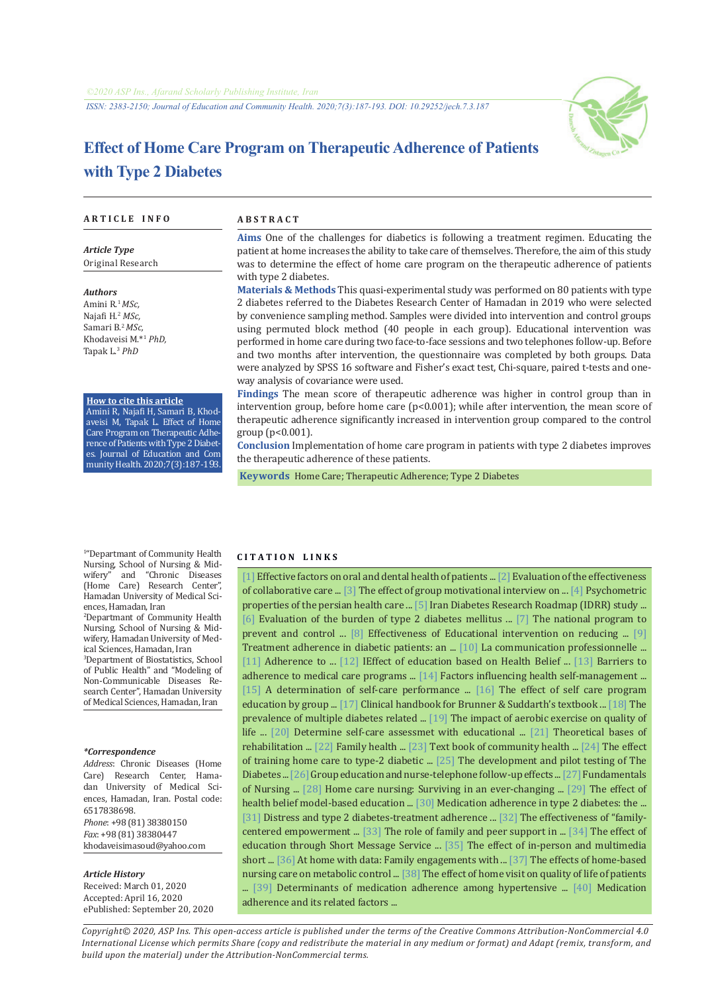*ISSN: 2383-2150; Journal of Education and Community Health. 2020;7(3):187-193. DOI: 10.29252/jech.7.3.187*



# **Effect of Home Care Program on Therapeutic Adherence of Patients with Type 2 Diabetes**

#### **A R T I C L E I N F O A B S T R A C T**

*Article Type* Original Research

*Authors* Amini R.<sup>1</sup>*MSc,* Najafi H.<sup>2</sup>  *MSc,* Samari B.<sup>2</sup>*MSc,* Khodaveisi M.\*<sup>1</sup>  *PhD,* Tapak L.<sup>3</sup>  *PhD*

#### **How to cite this article**

Amini R, Najafi H, Samari B, Khodaveisi M, Tapak L. Effect of Home Care Program on Therapeutic Adherence of Patients with Type 2 Diabetes. Journal of Education and Com munityHealth.2020;7(3):187-193.

**Aims** One of the challenges for diabetics is following a treatment regimen. Educating the patient at home increases the ability to take care of themselves. Therefore, the aim of this study was to determine the effect of home care program on the therapeutic adherence of patients with type 2 diabetes.

**Materials & Methods** This quasi-experimental study was performed on 80 patients with type 2 diabetes referred to the Diabetes Research Center of Hamadan in 2019 who were selected by convenience sampling method. Samples were divided into intervention and control groups using permuted block method (40 people in each group). Educational intervention was performed in home care during two face-to-face sessions and two telephones follow-up. Before and two months after intervention, the questionnaire was completed by both groups. Data were analyzed by SPSS 16 software and Fisher's exact test, Chi-square, paired t-tests and oneway analysis of covariance were used.

**Findings** The mean score of therapeutic adherence was higher in control group than in intervention group, before home care  $(p<0.001)$ ; while after intervention, the mean score of therapeutic adherence significantly increased in intervention group compared to the control group (p<0.001).

**Conclusion** Implementation of home care program in patients with type 2 diabetes improves the therapeutic adherence of these patients.

 **Keywords** [Home Care;](https://www.ncbi.nlm.nih.gov/mesh/68006699) [Therapeutic Adherence;](https://www.ncbi.nlm.nih.gov/mesh/2023381) [Type 2 Diabetes](https://www.ncbi.nlm.nih.gov/mesh/68003924) 

1 "Departmant of Community Health Nursing, School of Nursing & Mid-<br>wifery" and "Chronic Diseases and "Chronic Diseases (Home Care) Research Center", Hamadan University of Medical Sciences, Hamadan, Iran

2 Departmant of Community Health Nursing, School of Nursing & Midwifery, Hamadan University of Medical Sciences, Hamadan, Iran

3 Department of Biostatistics, School of Public Health" and "Modeling of Non-Communicable Diseases Research Center", Hamadan University of Medical Sciences, Hamadan, Iran

#### *\*Correspondence*

*Address*: Chronic Diseases (Home Care) Research Center, Hamadan University of Medical Sciences, Hamadan, Iran. Postal code: 6517838698.

*Phone*: +98 (81) 38380150 *Fax*: +98 (81) 38380447 khodaveisimasoud@yahoo.com

#### *Article History*

Received: March 01, 2020 Accepted: April 16, 2020 ePublished: September 20, 2020

#### **C I T A T I O N L I N K S**

[[1\]](http://jech.umsha.ac.ir/article-1-554-fa.html) Effective factors on oral and dental health of patients ... [\[2](http://jech.umsha.ac.ir/article-1-423-fa.html)] Evaluation of the effectiveness of collaborative care ... [\[3](http://jhpm.ir/article-1-1121-fa.html)] The effect of group motivational interview on ... [\[4](https://pubmed.ncbi.nlm.nih.gov/31190760/)] Psychometric properties of the persian health care ... [[5\]](https://pubmed.ncbi.nlm.nih.gov/28239599/) Iran Diabetes Research Roadmap (IDRR) study ... [[6\]](https://www.sciencedirect.com/science/article/abs/pii/S1871402110000317) Evaluation of the burden of type 2 diabetes mellitus ... [\[7\]](http://opac.nlai.ir/opac-prod/bibliographic/2954411) The national program to prevent and control ... [[8\]](http://jech.umsha.ac.ir/article-1-761-fa.html) Effectiveness of Educational intervention on reducing ... [[9\]](http://jdn.zbmu.ac.ir/article-1-307-fa.html) Treatment adherence in diabetic patients: an ... [[10\]](https://books.google.com/books?id=kGG4jwEACAAJ&dq) La communication professionnelle ... [[11](https://pubmed.ncbi.nlm.nih.gov/16079372/)] Adherence to ... [[12](http://jams.arakmu.ac.ir/article-1-198-fa.html)] IEffect of education based on Health Belief ... [\[13](https://pubmed.ncbi.nlm.nih.gov/31497274/)] Barriers to adherence to medical care programs ... [\[14](https://pubmed.ncbi.nlm.nih.gov/30510406/)] Factors influencing health self-management ... [[15](http://ijnr.ir/article-1-1302-fa.html)] A determination of self-care performance ... [[16\]](http://ijnr.ir/article-1-881-fa.html) The effect of self care program education by group ... [\[17](https://books.google.com/books?id=gE-eAgAAQBAJ&printsec=frontcover&dq)] Clinical handbook for Brunner & Suddarth's textbook ... [\[18](https://pubmed.ncbi.nlm.nih.gov/10746486/)] The prevalence of multiple diabetes related ... [\[19](https://pubmed.ncbi.nlm.nih.gov/27840340/)] The impact of aerobic exercise on quality of life ... [\[20\]](http://jdn.zbmu.ac.ir/article-1-68-fa.html) Determine self-care assessmet with educational ... [\[21\]](http://opac.nlai.ir/opac-prod/bibliographic/792603) Theoretical bases of rehabilitation ... [\[22\]](http://opac.nlai.ir/opac-prod/bibliographic/1143586) Family health ... [[23\]](http://opac.nlai.ir/opac-prod/bibliographic/2641494) Text book of community health ... [\[24](http://nmj.umsha.ac.ir/article-1-1276-fa.html)] The effect of training home care to type-2 diabetic ... [\[25](https://pubmed.ncbi.nlm.nih.gov/9419917/)] The development and pilot testing of The Diabetes ... [\[26](https://pubmed.ncbi.nlm.nih.gov/24049598/)] Group education and nurse-telephone follow-up effects ... [\[27](https://books.google.com/books?id=eCKKCwAAQBAJ&printsec=frontcover&dq )] Fundamentals of Nursing ... [\[28](https://books.google.com/books?id=jiEWDQAAQBAJ&pg=PR4&dq)] Home care nursing: Surviving in an ever-changing ... [\[29](http://jdn.zbmu.ac.ir/article-1-216-fa.html)] The effect of health belief model-based education ... [\[30\]](https://pubmed.ncbi.nlm.nih.gov/22403654/) Medication adherence in type 2 diabetes: the ... [[31](https://pubmed.ncbi.nlm.nih.gov/25110840/)] Distress and type 2 diabetes-treatment adherence ... [\[32](http://mcs.ajaums.ac.ir/article-1-158-fa.html)] The effectiveness of "familycentered empowerment ... [[33\]](https://bit.ly/2Onqaw4) The role of family and peer support in ... [[34\]](https://pubmed.ncbi.nlm.nih.gov/28545222/) The effect of education through Short Message Service ... [\[35](https://ijdld.tums.ac.ir/article-1-5731-fa.html)] The effect of in-person and multimedia short ... [[36\]](https://www.tandfonline.com/doi/abs/10.1080/10508406.2019.1666011?journalCode=hlns20) At home with data: Family engagements with ... [\[37](https://bit.ly/3gUqpLv)] The effects of home-based nursing care on metabolic control ... [[38\]](https://ijdld.tums.ac.ir/article-1-5572-fa.html) The effect of home visit on quality of life of patients ... [\[39\]](https://pubmed.ncbi.nlm.nih.gov/32509897/) Determinants of medication adherence among hypertensive ... [\[40](http://jech.umsha.ac.ir/article-1-157-fa.html)] Medication adherence and its related factors ...

*Copyright© 2020, ASP Ins. This open-access article is published under the terms of the Creative Commons Attribution-NonCommercial 4.0 International License which permits Share (copy and redistribute the material in any medium or format) and Adapt (remix, transform, and build upon the material) under the Attribution-NonCommercial terms.*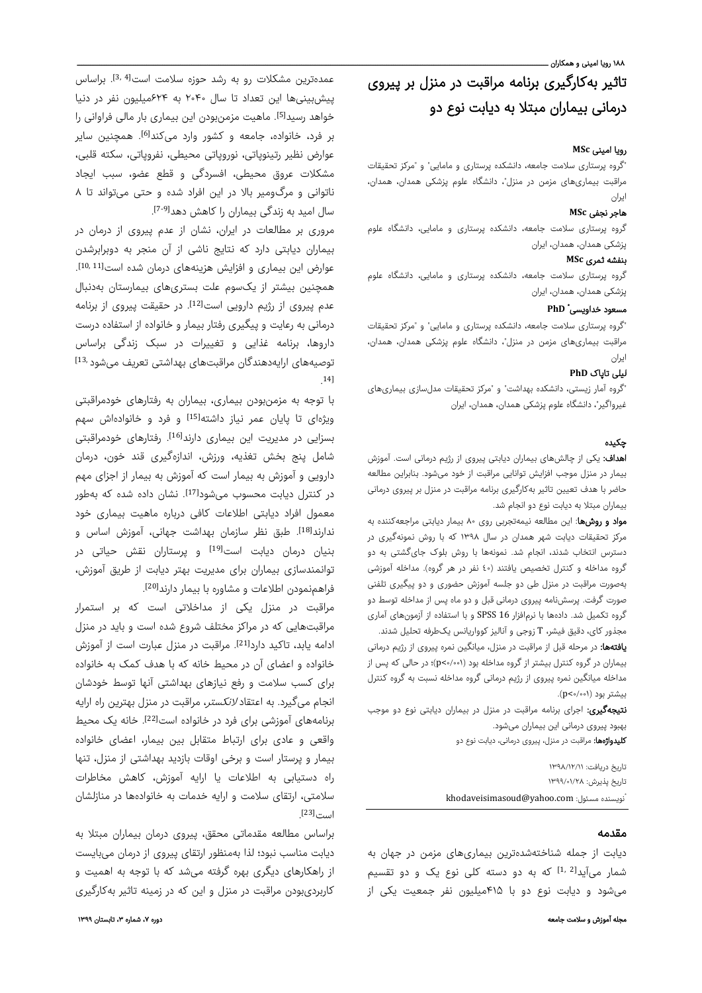۱۸۸ رویا امینی و همکاران ـ

# تاثیر بهکارگیری برنامه مراقبت در منزل بر پیروی درمانی بيماران مبتلا به دیابت نوع دو

## رویا امینی **MSc**

"گروه پرستاری سلامت جامعه، دانشکده پرستاری و مامایی" و "مرکز تحقیقات مراقبت بیماریهای مزمن در منزل"، دانشگاه علوم پزشکی همدان، همدان، ایران

# هاجر نجفی **MSc**

گروه پرستاری سلامت جامعه، دانشکده پرستاری و مامایی، دانشگاه علوم پزشکی همدان، همدان، ایران

### بنفشه ثمر ی **MSc**

گروه پرستاری سلامت جامعه، دانشکده پرستاری و مامایی، دانشگاه علوم پزشکی همدان، همدان، ایران

# **PhD** \* مسعود خداویسی

"گروه پرستاری سلامت جامعه، دانشکده پرستاری و مامایی" و "مرکز تحقیقات مراقبت بیماریهای مزمن در منزل"، دانشگاه علوم پزشکی همدان، همدان، ایران

# لیلی تاپاک **PhD**

"گروه آمار زیستی، دانشکده بهداشت" و "مرکز تحقیقات مدلسازی بیماریهای غیرواگیر"، دانشگاه علوم پزشکی همدان، همدان، ایران

# چکيده

اهداف: یکی از چالشهای بیماران دیابتی پیروی از رژیم درمانی است. آموزش بیمار در منزل موجب افزایش توانایی مراقبت از خود میشود. بنابراین مطالعه حاضر با هدف تعیین تاثیر بهکارگیری برنامه مراقبت در منزل بر پیروی درمانی بيماران مبتلا به دیابت نوع دو انجام شد.

مواد و روشها: اين مطالعه نیمهتجربی روی ۸۰ بیمار دیابتی مراجعهکننده به مرکز تحقیقات دیابت شهر همدان در سال ۱۳۹۸ که با روش نمونهگیری در دسترس انتخاب شدند، انجام شد. نمونهها با روش بلوک جایگشتی به دو گروه مداخله و کنترل تخصیص یافتند (٤٠ نفر در هر گروه). مداخله آموزشی بهصورت مراقبت در منزل طی دو جلسه آموزش حضوری و دو پیگیری تلفنی صورت گرفت. پرسشنامه پیروی درمانی قبل و دو ماه پس از مداخله توسط دو گروه تکمیل شد. دادهها با نرمافزار 16 SPSS و با استفاده از آزمونهای آماری مجذور کای، دقیق فیشر، T زوجی و آنالیز کوواریانس یکطرفه تحلیل شدند.

**یافتهها:** در مرحله قبل از مراقبت در منزل، میانگین نمره پیروی از رژیم درمانی بیماران در گروه کنترل بیشتر از گروه مداخله بود (۰/۰۰۱>p(؛ در حالی که پس از مداخله میانگین نمره پیروی از رژیم درمانی گروه مداخله نسبت به گروه کنترل بیشتر بود (۰/۰۰۱>p(.

**نتیجهگیری:** اجرای برنامه مراقبت در منزل در بیماران دیابتی نوع دو موجب بهبود پیروی درمانی این بیماران میشود. کلیدواژهها: مراقبت در منزل، پیروی درمانی، دیابت نوع دو

> تاريخ دريافت: ۱۳۹۸/۱۲/۱۱ تاريخ پذيرش: ۱۳۹۹/۰۱/۲۸ khodaveisimasoud@yahoo.com iزويسنده مسئول:

## مقدمه

دیابت از جمله شناختهشدهترین بیماریهای مزمن در جهان به شمار میآید<sup>[2 ,1]</sup> که به دو دسته کلی نوع یک و دو تقسیم میشود و دیابت نوع دو با ۴۱۵میلیون نفر جمعیت یکی از

عمدهترین مشکلات رو به رشد حوزه سلامت است<sup>[4 3,</sup> براساس پیشبینیها این تعداد تا سال ۲۰۴۰ به ۶۲۴میلیون نفر در دنیا خواهد رسید<sup>[5]</sup>. ماهیت مزمنبودن این بیماری بار مالی فراوانی را بر فرد، خانواده، جامعه و کشور وارد میکند<sup>[6]</sup>. همچنین سایر عوارض نظیر رتینوپاتی، نوروپاتی محیطی، نفروپاتی، سکته قلبی، مشکلات عروق محیطی، افسردگی و قطع عضو، سبب ایجاد ناتوانی و مرگومیر بالا در این افراد شده و حتی میتواند تا ٨ سال امید به زندگی بیماران را کاهش دهد<sup>[9-7]</sup>.

مروری بر مطالعات در ایران، نشان از عدم پیروی از درمان در بیماران دیابتی دارد که نتایج ناشی از آن منجر به دوبرابرشدن . [11 10,] عوارض این بیماری و افزایش هزینههای درمان شده است همچنین بیشتر از یکسوم علت بستریهای بیمارستان بهدنبال عدم پیروی از رژیم دارویی است<sup>[12]</sup>. در حقیقت پیروی از برنامه درمانی به رعایت و پیگیری رفتار بیمار و خانواده از استفاده درست داروها، برنامه غذایی و تغییرات در سبک زندگی براساس توصیههای ارایهدهندگان مراقبتهای بهداشتی تعریف میشود <sup>13,</sup> 14] .

با توجه به مزمنبودن بیماری، بیماران به رفتارهای خودمراقبتی ویژهای تا پایان عمر نیاز داشته<sup>[15]</sup> و فرد و خانوادهاش سهم بسزایی در مدیریت این بیماری دارند<sup>[16]</sup>. رفتارهای خودمراقبتی شامل پنج بخش تغذیه، ورزش، اندازهگیری قند خون، درمان دارویی و آموزش به بیمار است که آموزش به بیمار از اجزای مهم در کنترل دیابت محسوب میشود<sup>[17]</sup>. نشان داده شده که بهطور معمول افراد دیابتی اطلاعات کافی درباره ماهیت بیماری خود ندارند<sup>[18]</sup>. طبق نظر سازمان بهداشت جهانی، آموزش اساس و بنیان درمان دیابت است<sup>[19]</sup> و پرستاران نقش حیاتی در توانمندسازی بیماران برای مدیریت بهتر دیابت از طریق آموزش، . [20] فراهمنمودن اطلاعات و مشاوره با بیمار دارند

مراقبت در منزل یكی از مداخلاتی است که بر استمرار مراقبتهایی که در مراکز مختلف شروع شده است و باید در منزل ادامه یابد، تاکید دارد<sup>[21]</sup>. مراقبت در منزل عبارت است از آموزش خانواده و اعضای آن در محیط خانه که با هدف کمک به خانواده برای کسب سلامت و رفع نیازهای بهداشتی آنها توسط خودشان انجام میگیرد. به اعتقاد لانکستر، مراقبت در منزل بهترین راه ارایه برنامههای آموزشی برای فرد در خانواده است<sup>[22]</sup>. خانه یک محیط واقعی و عادی برای ارتباط متقابل بین بیمار، اعضای خانواده بیمار و پرستار است و برخی اوقات بازدید بهداشتی از منزل، تنها راه دستیابی به اطلاعات یا ارایه آموزش، کاهش مخاطرات سلامتی، ارتقای سلامت و ارایه خدمات به خانوادهها در منازلشان  $[23]$ <sub> $\cdots$  $\cdots$ </sub>

براساس مطالعه مقدماتی محقق، پیروی درمان بیماران مبتلا به دیابت مناسب نبود؛ لذا بهمنظور ارتقای پیروی از درمان میبایست از راهکارهای دیگری بهره گرفته میشد که با توجه به اهمیت و کاربردیبودن مراقبت در منزل و این که در زمینه تاثیر بهکارگیری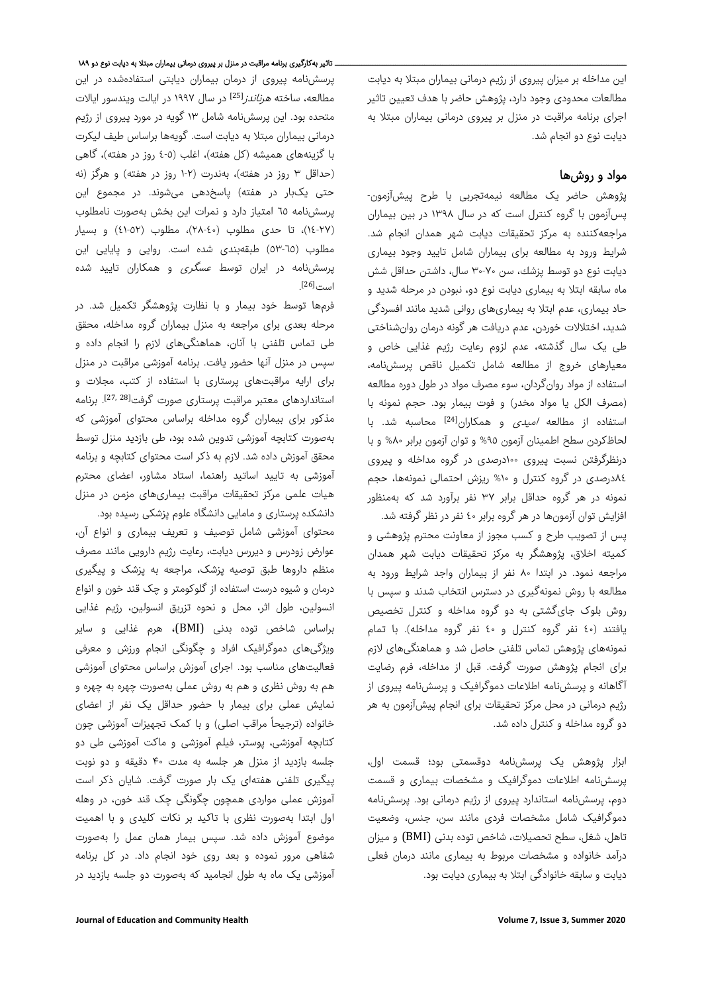این مداخله بر میزان پیروی از رژیم درمانی بیماران مبتلا به دیابت مطالعات محدودی وجود دارد، پژوهش حاضر با هدف تعیین تاثیر اجرای برنامه مراقبت در منزل بر پیروی درمانی بیماران مبتلا به دیابت نوع دو انجام شد.

# مواد و روشها

پژوهش حاضر یک مطالعه نیمهتجربی با طرح پیشآزمون- پسآزمون با گروه کنترل است که در سال ١٣٩٨ در بین بیماران مراجعهکننده به مرکز تحقیقات دیابت شهر همدان انجام شد. شرایط ورود به مطالعه برای بیماران شامل تایید وجود بیماری دیابت نوع دو توسط پزشك، سن ۳۰-۷۰ سال، داشتن حداقل شش ماه سابقه ابتلا به بیماری دیابت نوع دو، نبودن در مرحله شدید و حاد بیماری، عدم ابتلا به بیماریهای روانی شدید مانند افسردگی شدید، اختلالات خوردن، عدم دریافت هر گونه درمان روانشناختی طی یک سال گذشته، عدم لزوم رعایت رژیم غذایی خاص و معیارهای خروج از مطالعه شامل تکمیل ناقص پرسشنامه، استفاده از مواد روانگردان، سوء مصرف مواد در طول دوره مطالعه (مصرف الکل یا مواد مخدر) و فوت بیمار بود. حجم نمونه با استفاده از مطالعه *امیدی* و همکاران<sup>[24]</sup> محاسبه شد. با لحاظکردن سطح اطمینان آزمون %٩٥ و توان آزمون برابر %٨٠ و با درنظرگرفتن نسبت پیروی ١٠٠درصدی در گروه مداخله و پیروی ٨٤درصدی در گروه کنترل و %١٠ ریزش احتمالی نمونهها، حجم نمونه در هر گروه حداقل برابر ٣٧ نفر برآورد شد که بهمنظور افزایش توان آزمونها در هر گروه برابر ٤٠ نفر در نظر گرفته شد. پس از تصویب طرح و کسب مجوز از معاونت محترم پژوهشی و کمیته اخلاق، پژوهشگر به مرکز تحقیقات دیابت شهر همدان مراجعه نمود. در ابتدا ٨٠ نفر از بیماران واجد شرایط ورود به مطالعه با روش نمونهگیری در دسترس انتخاب شدند و سپس با روش بلوک جایگشتی به دو گروه مداخله و کنترل تخصیص یافتند (٤٠ نفر گروه کنترل و ٤٠ نفر گروه مداخله). با تمام نمونههای پژوهش تماس تلفنی حاصل شد و هماهنگیهای لازم برای انجام پژوهش صورت گرفت. قبل از مداخله، فرم رضایت آگاهانه و پرسشنامه اطلاعات دموگرافیک و پرسشنامه پیروی از

رژیم درمانی در محل مرکز تحقیقات برای انجام پیشآزمون به هر دو گروه مداخله و کنترل داده شد. ابزار پژوهش یک پرسشنامه دوقسمتی بود؛ قسمت اول،

پرسشنامه اطلاعات دموگرافیک و مشخصات بیماری و قسمت دوم، پرسشنامه استاندارد پیروی از رژیم درمانی بود. پرسشنامه دموگرافیک شامل مشخصات فردی مانند سن، جنس، وضعیت تاهل، شغل، سطح تحصیلات، شاخص توده بدنی (BMI (و میزان درآمد خانواده و مشخصات مربوط به بیماری مانند درمان فعلی دیابت و سابقه خانوادگی ابتلا به بیماری دیابت بود.

### ـ تاثیر بهکارگیری برنامه مراقبت در منزل بر پیروی درمانی بیماران مبتلا به دیابت نوع دو ۱۸۹

پرسشنامه پیروی از درمان بیماران دیابتی استفادهشده در این مطالعه، ساخته *هرناندز*<sup>251]</sup> در سال ۱۹۹۷ در ایالت ویندسور ایالات متحده بود. این پرسشنامه شامل ١٣ گویه در مورد پیروی از رژیم درمانی بیماران مبتلا به دیابت است. گویهها براساس طیف لیکرت با گزینههای همیشه (کل هفته)، اغلب (٤-٥ روز در هفته)، گاهی (حداقل ٣ روز در هفته)، بهندرت (١-٢ روز در هفته) و هرگز (نه حتی یکبار در هفته) پاسخدهی میشوند. در مجموع این پرسشنامه ٦٥ امتیاز دارد و نمرات این بخش بهصورت نامطلوب (١٤-٢٧)، تا حدی مطلوب (٢٨-٤٠)، مطلوب (-٥٢ ٤١) و بسیار مطلوب (٥٣-٦٥) طبقهبندی شده است. روایی و پایایی این پرسشنامه در ایران توسط *عسگری* و همکاران تایید شده . [26] است

فرمها توسط خود بیمار و با نظارت پژوهشگر تکمیل شد. در مرحله بعدی برای مراجعه به منزل بیماران گروه مداخله، محقق طی تماس تلفنی با آنان، هماهنگیهای لازم را انجام داده و سپس در منزل آنها حضور یافت. برنامه آموزشی مراقبت در منزل برای ارایه مراقبتهای پرستاری با استفاده از کتب، مجلات و استانداردهای معتبر مراقبت پرستاری صورت گرفت<sup>[27, 28]</sup>. برنامه مذکور برای بیماران گروه مداخله براساس محتوای آموزشی که بهصورت کتابچه آموزشی تدوین شده بود، طی بازدید منزل توسط محقق آموزش داده شد. لازم به ذکر است محتوای کتابچه و برنامه آموزشی به تایید اساتید راهنما، استاد مشاور، اعضای محترم هیات علمی مرکز تحقیقات مراقبت بیماریهای مزمن در منزل دانشکده پرستاری و مامایی دانشگاه علوم پزشکی رسیده بود.

محتوای آموزشی شامل توصیف و تعریف بیماری و انواع آن، عوارض زودرس و دیررس دیابت، رعایت رژیم دارویی مانند مصرف منظم داروها طبق توصیه پزشک، مراجعه به پزشک و پیگیری درمان و شیوه درست استفاده از گلوکومتر و چک قند خون و انواع انسولین، طول اثر، محل و نحوه تزریق انسولین، رژیم غذایی براساس شاخص توده بدنی (BMI)، هرم غذایی و سایر ویژگیهای دموگرافیک افراد و چگونگی انجام ورزش و معرفی فعالیتهای مناسب بود. اجرای آموزش براساس محتوای آموزشی هم به روش نظری و هم به روش عملی بهصورت چهره به چهره و نمایش عملی برای بیمار با حضور حداقل یک نفر از اعضای خانواده (ترجیحاً مراقب اصلی) و با کمک تجهیزات آموزشی چون کتابچه آموزشی، پوستر، فیلم آموزشی و ماکت آموزشی طی دو جلسه بازدید از منزل هر جلسه به مدت ۴۰ دقیقه و دو نوبت پیگیری تلفنی هفتهای یک بار صورت گرفت. شایان ذکر است آموزش عملی مواردی همچون چگونگی چک قند خون، در وهله اول ابتدا بهصورت نظری با تاکید بر نکات کلیدی و با اهمیت موضوع آموزش داده شد. سپس بیمار همان عمل را بهصورت شفاهی مرور نموده و بعد روی خود انجام داد. در کل برنامه آموزشی یک ماه به طول انجامید که بهصورت دو جلسه بازدید در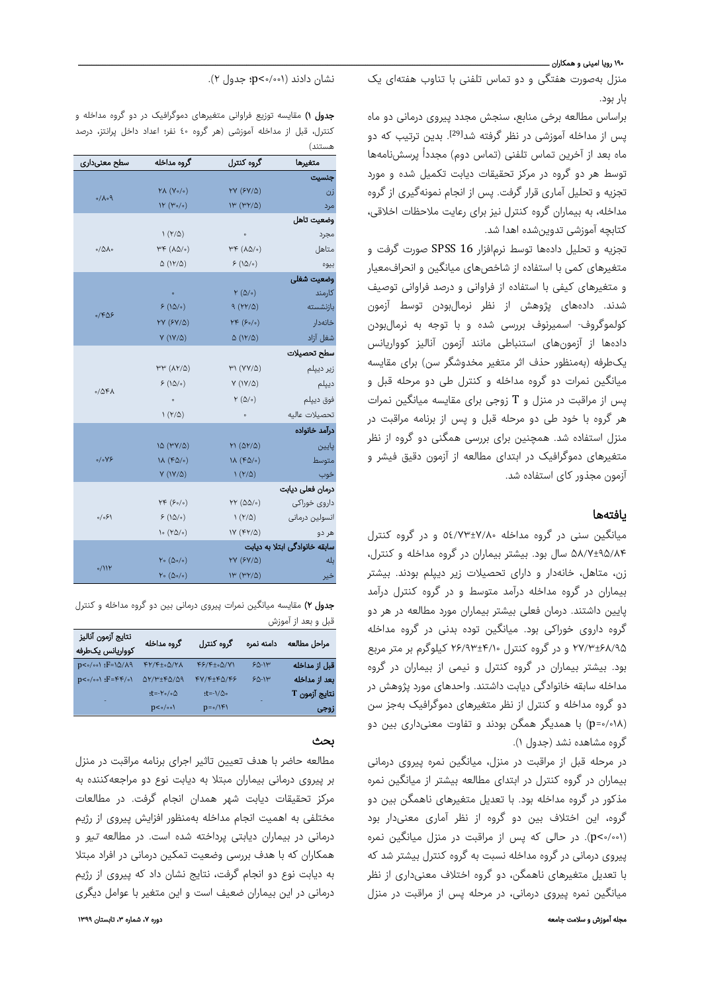#### ۱۹۰ روپا امینی و همکاران ـ

منزل بهصورت هفتگی و دو تماس تلفنی با تناوب هفتهای یک بار بود.

براساس مطالعه برخی منابع، سنجش مجدد پیروی درمانی دو ماه یس از مداخله آموزشی در نظر گرفته شد<sup>[29]</sup>. بدین ترتیب که دو ماه بعد از آخرین تماس تلفنی (تماس دوم) مجدداً پرسشنامهها توسط هر دو گروه در مرکز تحقیقات دیابت تکمیل شده و مورد تجزیه و تحلیل آماری قرار گرفت. پس از انجام نمونهگیری از گروه مداخله، به بیماران گروه كنترل نیز برای رعایت ملاحظات اخلاقی، كتابچه آموزشی تدوینشده اهدا شد.

تجزیه و تحلیل دادهها توسط نرمافزار 16 SPSS صورت گرفت و متغیرهای کمی با استفاده از شاخصهای میانگین و انحرافمعیار و متغیرهای کیفی با استفاده از فراوانی و درصد فراوانی توصیف شدند. دادههای پژوهش از نظر نرمالبودن توسط آزمون کولموگروف- اسمیرنوف بررسی شده و با توجه به نرمالبودن دادهها از آزمونهای استنباطی مانند آزمون آنالیز کوواریانس یکطرفه (بهمنظور حذف اثر متغیر مخدوشگر سن) برای مقایسه میانگین نمرات دو گروه مداخله و کنترل طی دو مرحله قبل و پس از مراقبت در منزل و T زوجی برای مقایسه میانگین نمرات هر گروه با خود طی دو مرحله قبل و پس از برنامه مراقبت در منزل استفاده شد. همچنین برای بررسی همگنی دو گروه از نظر متغیرهای دموگرافیک در ابتدای مطالعه از آزمون دقیق فیشر و آزمون مجذور کای استفاده شد.

# یافتهها

میانگین سنی در گروه مداخله ٥٤/٧٣±٧/٨٠ و در گروه کنترل ۵۸/۷±۹۵/۸۴ سال بود. بیشتر بیماران در گروه مداخله و کنترل، زن، متاهل، خانهدار و دارای تحصیلات زیر دیپلم بودند. بیشتر بیماران در گروه مداخله درآمد متوسط و در گروه کنترل درآمد پایین داشتند. درمان فعلی بیشتر بیماران مورد مطالعه در هر دو گروه داروی خوراکی بود. میانگین توده بدنی در گروه مداخله ۲۷/۳±۶۸/۹۵ و در گروه کنترل ۲۶/۹۳±۴/۱۰ کیلوگرم بر متر مربع بود. بیشتر بیماران در گروه کنترل و نیمی از بیماران در گروه مداخله سابقه خانوادگی دیابت داشتند. واحدهای مورد پژوهش در دو گروه مداخله و کنترل از نظر متغیرهای دموگرافیک بهجز سن (٠/٠١٨=p (با همدیگر همگن بودند و تفاوت معنیداری بین دو گروه مشاهده نشد (جدول ١).

در مرحله قبل از مراقبت در منزل، میانگین نمره پیروی درمانی بیماران در گروه کنترل در ابتدای مطالعه بیشتر از میانگین نمره مذکور در گروه مداخله بود. با تعدیل متغیرهای ناهمگن بین دو گروه، این اختلاف بین دو گروه از نظر آماری معنیدار بود (٠/٠٠١>p(. در حالی که پس از مراقبت در منزل میانگین نمره پیروی درمانی در گروه مداخله نسبت به گروه کنترل بیشتر شد که با تعدیل متغیرهای ناهمگن، دو گروه اختلاف معنیداری از نظر میانگین نمره پیروی درمانی، در مرحله پس از مراقبت در منزل

نشان دادند (٠/٠٠١>p؛ جدول ٢).

جدول ١) مقایسه توزیع فراوانی متغیرهای دموگرافیک در دو گروه مداخله و کنترل، قبل از مداخله آموزشی (هر گروه ٤٠ نفر؛ اعداد داخل پرانتز، درصد هستند)

| سطح معنىدارى                      | گروه مداخله                                 | گروه کنترل                      | متغيرها                       |
|-----------------------------------|---------------------------------------------|---------------------------------|-------------------------------|
|                                   |                                             |                                 | جنسيت                         |
| $P \circ \Lambda \setminus \circ$ | $Y\Lambda(Y\circ/\circ)$                    | $YY (SY/\Delta)$                | زن                            |
|                                   | $W(W_0/\circ)$                              | (۳۲/۵) ١٣                       | مرد                           |
| $0/\Delta\Lambda$                 |                                             |                                 | وضعيت تاهل                    |
|                                   | $\left(\frac{Y}{Q}\right)$                  | $\circ$                         | مجرد                          |
|                                   | ۳۴ (۸۵/۰)                                   | $h(k(\nabla \phi) \circ )$      | متاهل                         |
|                                   | (۱۲/۵) ۵                                    | 5(10/°)                         | بيوه                          |
|                                   |                                             |                                 | وضعيت شغلى                    |
| 0/609                             | $\circ$                                     | $Y(\Delta/\circ)$               | كارمند                        |
|                                   | 5(100)                                      | (۲۲/۵) ۹                        | بازنشسته                      |
|                                   | <b>YY</b> (۶Y/۵)                            | $YF(\xi_0/\sigma)$              | خانەدار                       |
|                                   | $Y(1Y/\Delta)$                              | ۵ (۱۲/۵)                        | شغل آزاد                      |
|                                   |                                             |                                 | سطح تحصيلات                   |
| 0/0FA                             | $\forall \forall (\lambda \forall \lambda)$ | $Y\prime\prime$ (YY/ $\Delta$ ) | زير ديپلم                     |
|                                   | $5(10/-)$                                   | $Y(1Y/\Delta)$                  | ديپلم                         |
|                                   | $\circ$                                     | $Y(\Delta/\circ)$               | فوق ديپلم                     |
|                                   | (۲/۵) ۱                                     | $\circ$                         | تحصيلات عاليه                 |
|                                   |                                             |                                 | درآمد خانواده                 |
| $\circ/\circ \forall \xi$         | (۳۷/۵ )                                     | $M(\Delta Y/\Delta)$            | پايين                         |
|                                   | $1\lambda$ (FQ/ $\circ$ )                   | $1\lambda$ (FQ/ $\circ$ )       | متوسط                         |
|                                   | $V (1Y/\Delta)$                             | $\left(\frac{Y}{0}\right)$      | خوب                           |
|                                   |                                             |                                 | درمان فعلى ديابت              |
| (۶۰/ه                             | (۶۰/۰) ۲۴                                   | $YY(00/\circ)$                  | داروی خوراکی                  |
|                                   | 5(100)                                      | (۲/۵) ۱                         | انسولين درمانى                |
|                                   | (۲۵/۰) ۱۰                                   | $IV (FY/\Delta)$                | هر دو                         |
|                                   |                                             |                                 | سابقه خانوادگی ابتلا به دیابت |
| 0/11Y                             | $Y\circ (\Delta \circ / \circ)$             | $YY (SY/\Delta)$                | بله                           |
|                                   | (۵۰/۰) ۲۰                                   | (۳۲/۵) ۱۳                       | خير                           |

جدول ۲) مقایسه میانگین نمرات پیروی درمانی بين دو گروه مداخله و كنترل قبل و بعد از آموزش

| نتايج آزمون آناليز<br>كوواريانس يكطرفه | گروه مداخله                             | گروہ کنترل                               | دامنه نمره | مراحل مطالعه  |
|----------------------------------------|-----------------------------------------|------------------------------------------|------------|---------------|
| $p<0/001$ : $F=10/\lambda$ 9           | $FY/F_{\pm}$ . $\Delta/Y\Lambda$        | FF/F±04/Y1                               | $50 - 14$  | قبل از مداخله |
| $p < o / o o$ : $F = F F / o V$        | $\Delta Y/Y \pm \gamma \Delta/\Delta Q$ | $FY/F\pm F\Delta/FF$                     | $50 - 11$  | بعد از مداخله |
|                                        | $t = -Y \circ / \circ \Delta$           | ۰∆/\t=-\.                                |            | نتايج آزمون T |
|                                        | p<∘/∘∘\                                 | $p = \circ / \uparrow \uparrow \uparrow$ |            | زوجي          |

# بحث

مطالعه حاضر با هدف تعیین تاثیر اجرای برنامه مراقبت در منزل بر پیروی درمانی بیماران مبتلا به دیابت نوع دو مراجعهکننده به مرکز تحقیقات دیابت شهر همدان انجام گرفت. در مطالعات مختلفی به اهمیت انجام مداخله بهمنظور افزایش پیروی از رژیم درمانی در بیماران دیابتی پرداخته شده است. در مطالعه تیو و همکاران که با هدف بررسی وضعیت تمکین درمانی در افراد مبتلا به دیابت نوع دو انجام گرفت، نتایج نشان داد که پیروی از رژیم درمانی در این بیماران ضعیف است و این متغیر با عوامل دیگری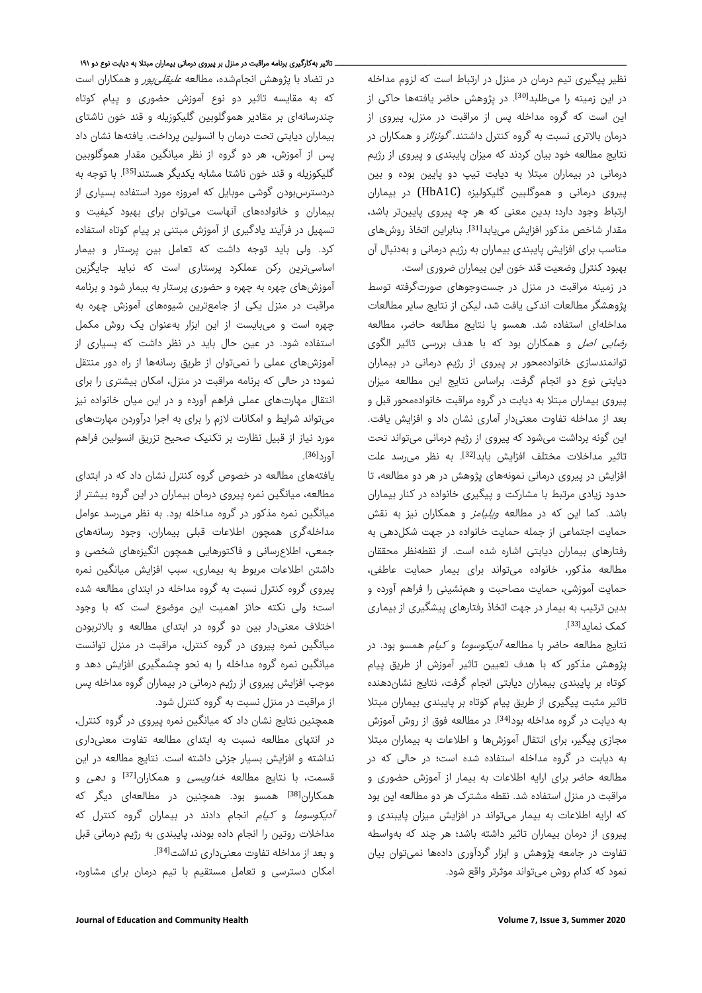نظیر پیگیری تیم درمان در منزل در ارتباط است که لزوم مداخله در این زمینه را میطلبد<sup>[30]</sup>. در پژوهش حاضر یافتهها حاکی از این است که گروه مداخله پس از مراقبت در منزل، پیروی از درمان بالاتری نسبت به گروه کنترل داشتند. *گونزالز* و همکاران در نتایج مطالعه خود بیان کردند که میزان پایبندی و پیروی از رژیم درمانی در بیماران مبتلا به دیابت تیپ دو پایین بوده و بین پیروی درمانی و هموگلبین گلیکولیزه (C1HbA (در بیماران ارتباط وجود دارد؛ بدین معنی که هر چه پیروی پایینتر باشد، مقدار شاخص مذکور افزایش مییابد<sup>[31]</sup>. بنابراین اتخاذ روشهای مناسب برای افزایش پایبندی بیماران به رژیم درمانی و بهدنبال آن بهبود کنترل وضعیت قند خون این بیماران ضروری است.

در زمینه مراقبت در منزل در جستوجوهای صورتگرفته توسط پژوهشگر مطالعات اندکی یافت شد، لیکن از نتایج سایر مطالعات مداخلهای استفاده شد. همسو با نتایج مطالعه حاضر، مطالعه *رضایی اصل* و همکاران بود که با هدف بررسی تاثیر الگوی توانمندسازی خانوادهمحور بر پیروی از رژیم درمانی در بیماران دیابتی نوع دو انجام گرفت. براساس نتایج این مطالعه میزان پیروی بیماران مبتلا به دیابت در گروه مراقبت خانوادهمحور قبل و بعد از مداخله تفاوت معنیدار آماری نشان داد و افزایش یافت. این گونه برداشت میشود که پیروی از رژیم درمانی میتواند تحت تاثیر مداخلات مختلف افزایش یابد<sup>[32]</sup>. به نظر می<sub>ا</sub>سد علت افزایش در پیروی درمانی نمونههای پژوهش در هر دو مطالعه، تا حدود زیادی مرتبط با مشارکت و پیگیری خانواده در کنار بیماران باشد. کما این که در مطالعه *ویلیامز* و همکاران نیز به نقش حمایت اجتماعی از جمله حمایت خانواده در جهت شکلدهی به رفتارهای بیماران دیابتی اشاره شده است. از نقطهنظر محققان مطالعه مذکور، خانواده میتواند برای بیمار حمایت عاطفی، حمایت آموزشی، حمایت مصاحبت و همنشینی را فراهم آورده و بدین ترتیب به بیمار در جهت اتخاذ رفتارهای پیشگیری از بیماری کمک نماید<sup>[33]</sup>.

نتایج مطالعه حاضر با مطالعه *آدیکوسوما* و *کیام* همسو بود. در پژوهش مذکور که با هدف تعیین تاثیر آموزش از طریق پیام کوتاه بر پایبندی بیماران دیابتی انجام گرفت، نتایج نشاندهنده تاثیر مثبت پیگیری از طریق پیام کوتاه بر پایبندی بیماران مبتلا به دیابت در گروه مداخله بود<sup>[34]</sup>. در مطالعه فوق از روش آموزش مجازی پیگیر، برای انتقال آموزشها و اطلاعات به بیماران مبتلا به دیابت در گروه مداخله استفاده شده است؛ در حالی که در مطالعه حاضر برای ارایه اطلاعات به بیمار از آموزش حضوری و مراقبت در منزل استفاده شد. نقطه مشترک هر دو مطالعه این بود که ارایه اطلاعات به بیمار میتواند در افزایش میزان پایبندی و پیروی از درمان بیماران تاثیر داشته باشد؛ هر چند که بهواسطه تفاوت در جامعه پژوهش و ابزار گردآوری دادهها نمیتوان بیان نمود که کدام روش میتواند موثرتر واقع شود.

#### . تاثیر بهکارگیری برنامه مراقبت در منزل بر پیروی درمانی بیماران مبتلا به دیابت نوع دو ۱۹۱

در تضاد با پژوهش انجامشده، مطالعه *علیقلیپور* و همکاران است که به مقایسه تاثیر دو نوع آموزش حضوری و پیام کوتاه چندرسانهای بر مقادیر هموگلوبین گلیکوزیله و قند خون ناشتای بیماران دیابتی تحت درمان با انسولین پرداخت. یافتهها نشان داد پس از آموزش، هر دو گروه از نظر میانگین مقدار هموگلوبین گلیکوزیله و قند خون ناشتا مشابه یکدیگر هستند<sup>[35]</sup>. با توجه به دردسترسبودن گوشی موبایل که امروزه مورد استفاده بسیاری از بیماران و خانوادههای آنهاست میتوان برای بهبود کیفیت و تسهیل در فرآیند یادگیری از آموزش مبتنی بر پیام کوتاه استفاده کرد. ولی باید توجه داشت که تعامل بین پرستار و بیمار اساسیترین رکن عملکرد پرستاری است که نباید جایگزین آموزشهای چهره به چهره و حضوری پرستار به بیمار شود و برنامه مراقبت در منزل یکی از جامعترین شیوههای آموزش چهره به چهره است و میبایست از این ابزار بهعنوان یک روش مکمل استفاده شود. در عین حال باید در نظر داشت که بسیاری از آموزشهای عملی را نمیتوان از طریق رسانهها از راه دور منتقل نمود؛ در حالی که برنامه مراقبت در منزل، امکان بیشتری را برای انتقال مهارتهای عملی فراهم آورده و در این میان خانواده نیز میتواند شرایط و امکانات لازم را برای به اجرا درآوردن مهارتهای مورد نیاز از قبیل نظارت بر تکنیک صحیح تزریق انسولین فراهم . [36] آورد

یافتههای مطالعه در خصوص گروه کنترل نشان داد که در ابتدای مطالعه، میانگین نمره پیروی درمان بیماران در این گروه بیشتر از میانگین نمره مذکور در گروه مداخله بود. به نظر میرسد عوامل مداخلهگری همچون اطلاعات قبلی بیماران، وجود رسانههای جمعی، اطلاعرسانی و فاکتورهایی همچون انگیزههای شخصی و داشتن اطلاعات مربوط به بیماری، سبب افزایش میانگین نمره پیروی گروه کنترل نسبت به گروه مداخله در ابتدای مطالعه شده است؛ ولی نکته حائز اهمیت این موضوع است که با وجود اختلاف معنیدار بین دو گروه در ابتدای مطالعه و بالاتربودن میانگین نمره پیروی در گروه کنترل، مراقبت در منزل توانست میانگین نمره گروه مداخله را به نحو چشمگیری افزایش دهد و موجب افزایش پیروی از رژیم درمانی در بیماران گروه مداخله پس از مراقبت در منزل نسبت به گروه کنترل شود.

همچنین نتایج نشان داد که میانگین نمره پیروی در گروه کنترل، در انتهای مطالعه نسبت به ابتدای مطالعه تفاوت معنیداری نداشته و افزایش بسیار جزئی داشته است. نتایج مطالعه در این قسمت، با نتایج مطالعه *خداویسی* و همکاران<sup>[37]</sup> و *دهی* و همکاران<sup>[38]</sup> همسو بود. همچنین در مطالعهای دیگر که آدیکوسوما و کیام انجام دادند در بیماران گروه کنترل که مداخلات روتین را انجام داده بودند، پایبندی به رژیم درمانی قبل . [34] و بعد از مداخله تفاوت معنیداری نداشت

امکان دسترسی و تعامل مستقیم با تیم درمان برای مشاوره،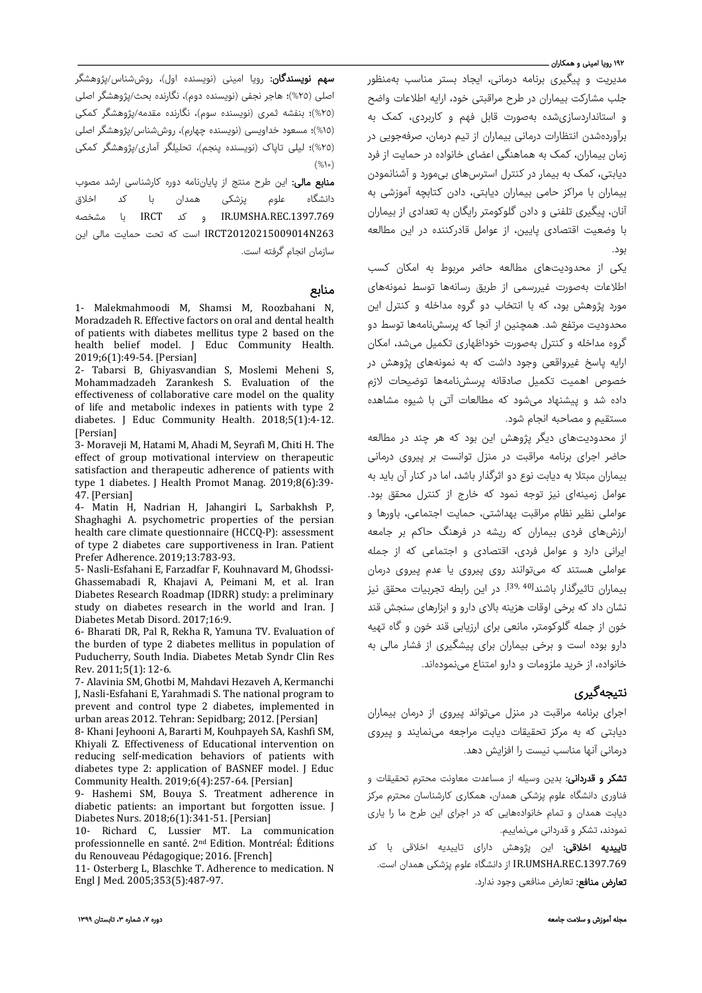### ۱۹۲ روپا امینی و همکاران ـــ

مدیریت و پیگیری برنامه درمانی، ایجاد بستر مناسب بهمنظور جلب مشارکت بیماران در طرح مراقبتی خود، ارایه اطلاعات واضح و استانداردسازیشده بهصورت قابل فهم و کاربردی، کمک به برآوردهشدن انتظارات درمانی بیماران از تیم درمان، صرفهجویی در زمان بیماران، کمک به هماهنگی اعضای خانواده در حمایت از فرد دیابتی، کمک به بیمار در کنترل استرسهای بیمورد و آشنانمودن بیماران با مراکز حامی بیماران دیابتی، دادن کتابچه آموزشی به آنان، پیگیری تلفنی و دادن گلوکومتر رایگان به تعدادی از بیماران با وضعیت اقتصادی پایین، از عوامل قادرکننده در این مطالعه بود.

یکی از محدودیتهای مطالعه حاضر مربوط به امکان کسب اطلاعات بهصورت غیررسمی از طریق رسانهها توسط نمونههای مورد پژوهش بود، که با انتخاب دو گروه مداخله و کنترل این محدودیت مرتفع شد. همچنین از آنجا که پرسشنامهها توسط دو گروه مداخله و کنترل بهصورت خوداظهاری تکمیل میشد، امکان ارایه پاسخ غیرواقعی وجود داشت که به نمونههای پژوهش در خصوص اهمیت تکمیل صادقانه پرسشنامهها توضیحات لازم داده شد و پیشنهاد میشود که مطالعات آتی با شیوه مشاهده مستقیم و مصاحبه انجام شود.

از محدودیتهای دیگر پژوهش این بود که هر چند در مطالعه حاضر اجرای برنامه مراقبت در منزل توانست بر پیروی درمانی بیماران مبتلا به دیابت نوع دو اثرگذار باشد، اما در کنار آن باید به عوامل زمینهای نیز توجه نمود که خارج از کنترل محقق بود. عواملی نظیر نظام مراقبت بهداشتی، حمایت اجتماعی، باورها و ارزشهای فردی بیماران که ریشه در فرهنگ حاکم بر جامعه ایرانی دارد و عوامل فردی، اقتصادی و اجتماعی که از جمله عواملی هستند که میتوانند روی پیروی یا عدم پیروی درمان بیماران تاثیرگذار باشند<sup>[40 39,</sup> در این رابطه تجربیات محقق نیز نشان داد که برخی اوقات هزینه بالای دارو و ابزارهای سنجش قند خون از جمله گلوکومتر، مانعی برای ارزیابی قند خون و گاه تهیه دارو بوده است و برخی بیماران برای پیشگیری از فشار مالی به خانواده، از خرید ملزومات <sup>و</sup> دارو امتناع مینمودهاند.

# نتیجهگیری

اجرای برنامه مراقبت در منزل میتواند پیروی از درمان بیماران دیابتی که به مرکز تحقیقات دیابت مراجعه مینمایند و پیروی درمانی آنها مناسب نیست را افزایش دهد.

<mark>تشکر و قدردانی:</mark> بدین وسیله از مساعدت معاونت محترم تحقیقات و فناوری دانشگاه علوم پزشکی همدان، همکاری کارشناسان محترم مرکز دیابت همدان و تمام خانوادههایی که در اجرای این طرح ما را یاری نمودند، تشکر و قدردانی مینماییم.

**تاییدیه اخلاقی:** این پژوهش دارای تاییدیه اخلاقی با کد .1397.769REC.UMSHA.IR از دانشگاه علوم پزشکی همدان است. <mark>تعارض منافع:</mark> تعارض منافعی وجود ندارد.

**سهم نویسندگان:** رویا امینی (نویسنده اول)، روششناس/پژوهشگر اصلی (%٢٥)؛ هاجر نجفی (نویسنده دوم)، نگارنده بحث/پژوهشگر اصلی (%٢٥)؛ بنفشه ثمری (نویسنده سوم)، نگارنده مقدمه/پژوهشگر کمکی (%١٥)؛ مسعود خداویسی (نویسنده چهارم)، روششناس/پژوهشگر اصلی (%٢٥)؛ لیلی تاپاک (نویسنده پنجم)، تحلیلگر آماری/پژوهشگر کمکی  $(%$ ۱۰)

منابع مالی: این طرح منتج از پایاننامه دوره کارشناسی ارشد مصوب دانشگاه علوم پزشکی همدان با کد اخلاق .1397.769REC.UMSHA.IR و کد IRCT با مشخصه 263N20120215009014IRCT است که تحت حمایت مالی این سازمان انجام گرفته است.

# منابع

1- Malekmahmoodi M, Shamsi M, Roozbahani N, Moradzadeh R. Effective factors on oral and dental health of patients with diabetes mellitus type 2 based on the health belief model. J Educ Community Health. 2019;6(1):49-54. [Persian]

2- Tabarsi B, Ghiyasvandian S, Moslemi Meheni S, Mohammadzadeh Zarankesh S. Evaluation of the effectiveness of collaborative care model on the quality of life and metabolic indexes in patients with type 2 diabetes. J Educ Community Health. 2018;5(1):4-12. [Persian]

3- Moraveji M, Hatami M, Ahadi M, Seyrafi M, Chiti H. The effect of group motivational interview on therapeutic satisfaction and therapeutic adherence of patients with type 1 diabetes. J Health Promot Manag. 2019;8(6):39- 47. [Persian]

4- Matin H, Nadrian H, Jahangiri L, Sarbakhsh P, Shaghaghi A. psychometric properties of the persian health care climate questionnaire (HCCQ-P): assessment of type 2 diabetes care supportiveness in Iran. Patient Prefer Adherence. 2019;13:783-93.

5- Nasli-Esfahani E, Farzadfar F, Kouhnavard M, Ghodssi-Ghassemabadi R, Khajavi A, Peimani M, et al. Iran Diabetes Research Roadmap (IDRR) study: a preliminary study on diabetes research in the world and Iran. J Diabetes Metab Disord. 2017;16:9.

6- Bharati DR, Pal R, Rekha R, Yamuna TV. Evaluation of the burden of type 2 diabetes mellitus in population of Puducherry, South India. Diabetes Metab Syndr Clin Res Rev. 2011;5(1): 12-6.

7- Alavinia SM, Ghotbi M, Mahdavi Hezaveh A, Kermanchi J, Nasli-Esfahani E, Yarahmadi S. The national program to prevent and control type 2 diabetes, implemented in urban areas 2012. Tehran: Sepidbarg; 2012. [Persian]

8- Khani Jeyhooni A, Bararti M, Kouhpayeh SA, Kashfi SM, Khiyali Z. Effectiveness of Educational intervention on reducing self-medication behaviors of patients with diabetes type 2: application of BASNEF model. J Educ Community Health. 2019;6(4):257-64. [Persian]

9- Hashemi SM, Bouya S. Treatment adherence in diabetic patients: an important but forgotten issue. J Diabetes Nurs. 2018;6(1):341-51. [Persian]

10- Richard C, Lussier MT. La communication professionnelle en santé. 2<sup>nd</sup> Edition. Montréal: Éditions du Renouveau Pédagogique; 2016. [French]

11- Osterberg L, Blaschke T. Adherence to medication. N Engl J Med. 2005;353(5):487-97.